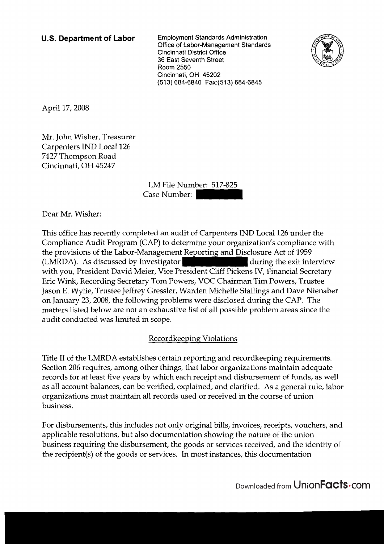**U.S. Department of Labor** Employment Standards Administration Office of Labor-Management Standards Cincinnati District Office 36 East Seventh Street Room 2550 Cincinnati, OH 45202 (51 3) 684-6840 Fax:(513) 684-6845



April 17,2008

Mr. John Wisher, Treasurer Carpenters IND Local 126 7427 Thompson Road Cincinnati, OH 45247

> LM File Number: 517-825 Case Number: |

Dear Mr. Wisher:

This office has recently completed an audit of Carpenters IND Local 126 under the Compliance Audit Program (CAP) to determine your organization's compliance with the provisions of the Labor-Management Reporting and Disclosure Act of 1959 (LMRDA). As discussed by Investigator during the exit interview with you, President David Meier, Vice President Cliff Pickens IV, Financial Secretary Eric Wink, Recording Secretary Tom Powers, VOC Chairman Tim Powers, Trustee Jason E. Wylie, Trustee Jeffrey Gressler, Warden Michelle Stallings and Dave Nienaber on January 23,2008, the following problems were disclosed during the CAP. The matters listed below are not an exhaustive list of all possible problem areas since the audit conducted was limited in scope.

### Recordkeeping Violations

Title I1 of the LMRDA establishes certain reporting and recordkeeping requirements. Section 206 requires, among other things, that labor organizations maintain adequate records for at least five years by which each receipt and disbursement of funds, as well as all account balances, can be verified, explained, and clarified. As a general rule, labor organizations must maintain all records used or received in the course of union business.

For disbursements, this includes not only original bills, invoices, receipts, vouchers, and applicable resolutions, but also documentation showing the nature of the union business requiring the disbursement, the goods or services received, and the identity of the recipient(s) of the goods or services. In most instances, this documentation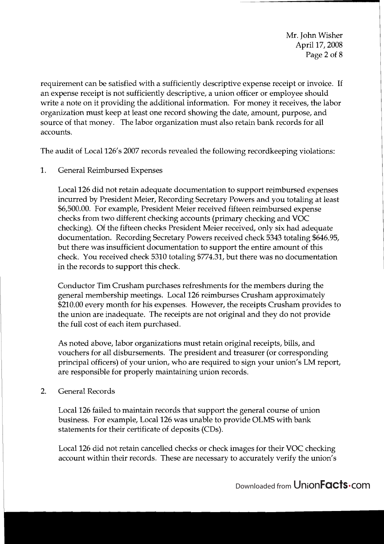Mr. John Wisher April 17,2008 Page 2 of 8

requirement can be satisfied with a sufficiently descriptive expense receipt or invoice. If an expense receipt is not sufficiently descriptive, a union officer or employee should write a note on it providing the additional information. For money it receives, the labor organization must keep at least one record showing the date, amount, purpose, and source of that money. The labor organization must also retain bank records for all accounts.

The audit of Local 126's 2007 records revealed the following recordkeeping violations:

1. General Reimbursed Expenses

Local 126 did not retain adequate documentation to support reimbursed expenses incurred by President Meier, Recording Secretary Powers and you totaling at least \$6,500.00. For example, President Meier received fifteen reimbursed expense checks from two different checking accounts (primary checking and VOC checking). Of the fifteen checks President Meier received, only six had adequate documentation. Recording Secretary Powers received check 5343 totaling \$646.95, but there was insufficient documentation to support the entire amount of this check. You received check 5310 totaling \$774.31, but there was no documentation in the records to support this check.

Conductor Tim Crusham purchases refreshments for the members during the general membership meetings. Local 126 reimburses Crusham approximately \$210.00 every month for his expenses. However, the receipts Crusham provides to the union are inadequate. The receipts are not original and they do not provide the full cost of each item purchased.

As noted above, labor organizations must retain original receipts, bills, and vouchers for all disbursements. The president and treasurer (or corresponding principal officers) of your union, who are required to sign your union's LM report, are responsible for properly maintaining union records.

2. General Records

Local 126 failed to maintain records that support the general course of union business. For example, Local 126 was unable to provide OLMS with bank statements for their certificate of deposits (CDs).

Local 126 did not retain cancelled checks or check images for their VOC checking account within their records. These are necessary to accurately verify the union's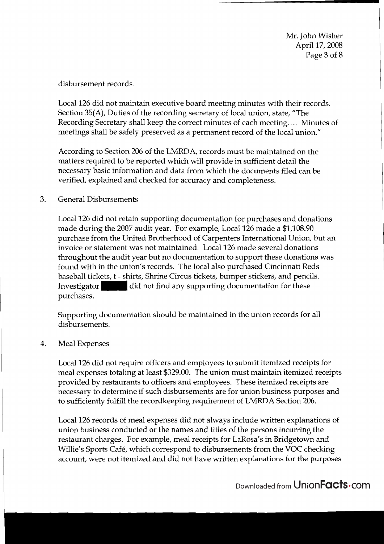Mr. John Wisher April 17, 2008 Page 3 of 8

disbursement records.

Local 126 did not maintain executive board meeting minutes with their records. Section 35(A), Duties of the recording secretary of local union, state, "The Recording Secretary shall keep the correct minutes of each meeting.... Minutes of meetings shall be safely preserved as a permanent record of the local union."

According to Section 206 of the LMRDA, records must be maintained on the matters required to be reported which will provide in sufficient detail the necessary basic information and data from which the documents filed can be verified, explained and checked for accuracy and completeness.

3. General Disbursements

Local 126 did not retain supporting documentation for purchases and donations made during the 2007 audit year. For example, Local 126 made a \$1,108.90 purchase from the United Brotherhood of Carpenters International Union, but an invoice or statement was not maintained. Local 126 made several donations throughout the audit year but no documentation to support these donations was found with in the union's records. The local also purchased Cincinnati Reds baseball tickets, t - shirts, Shrine Circus tickets, bumper stickers, and pencils. Investigator did not find any supporting documentation for these purchases.

Supporting documentation should be maintained in the union records for all disbursements.

# 4. Meal Expenses

Local 126 did not require officers and employees to submit itemized receipts for meal expenses totaling at least \$329.00. The union must maintain itemized receipts provided by restaurants to officers and employees. These itemized receipts are necessary to determine if such disbursements are for union business purposes and to sufficiently fulfill the recordkeeping requirement of LMRDA Section 206.

Local 126 records of meal expenses did not always include written explanations of union business conducted or the names and titles of the persons incurring the restaurant charges. For example, meal receipts for LaRosa's in Bridgetown and Willie's Sports Café, which correspond to disbursements from the VOC checking account, were not itemized and did not have written explanations for the purposes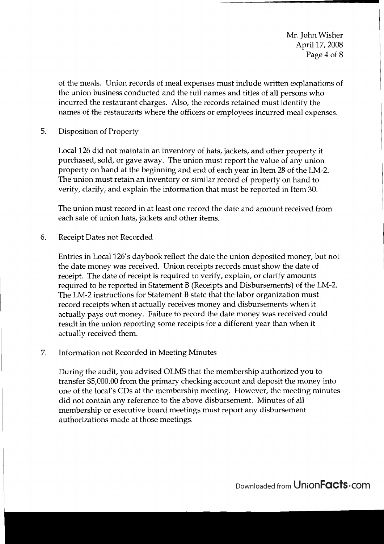Mr. John Wisher April 17,2008 Page 4 of 8

of the meals. Union records of meal expenses must include written explanations of the union business conducted and the full names and titles of all persons who incurred the restaurant charges. Also, the records retained must identify the names of the restaurants where the officers or employees incurred meal expenses.

5. Disposition of Property

Local 126 did not maintain an inventory of hats, jackets, and other property it purchased, sold, or gave away. The union must report the value of any union property on hand at the beginning and end of each year in Item 28 of the LM-2. The union must retain an inventory or similar record of property on hand to verify, clarify, and explain the information that must be reported in Item 30.

The union must record in at least one record the date and amount received from each sale of union hats, jackets and other items.

6. Receipt Dates not Recorded

Entries in Local 126's daybook reflect the date the union deposited money, but not the date money was received. Union receipts records must show the date of receipt. The date of receipt is required to verify, explain, or clarify amounts required to be reported in Statement B (Receipts and Disbursements) of the LM-2. The LM-2 instructions for Statement B state that the labor organization must record receipts when it actually receives money and disbursements when it actually pays out money. Failure to record the date money was received could result in the union reporting some receipts for a different year than when it actually received them.

7. Information not Recorded in Meeting Minutes

During the audit, you advised OLMS that the membership authorized you to transfer \$5,000.00 from the primary checking account and deposit the money into one of the local's CDs at the membership meeting. However, the meeting minutes did not contain any reference to the above disbursement. Minutes of all membership or executive board meetings must report any disbursement authorizations made at those meetings.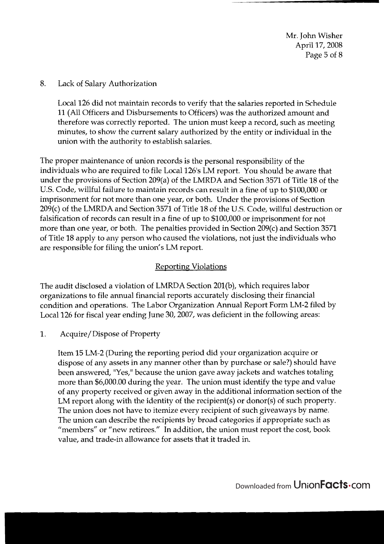Mr. John Wisher April 17,2008 Page 5 of 8

#### 8. Lack of Salary Authorization

Local 126 did not maintain records to verify that the salaries reported in Schedule 11 (All Officers and Disbursements to Officers) was the authorized amount and therefore was correctly reported. The union must keep a record, such as meeting minutes, to show the current salary authorized by the entity or individual in the union with the authority to establish salaries.

The proper maintenance of union records is the personal responsibility of the individuals who are required to file Local 126's LM report. You should be aware that under the provisions of Section 209(a) of the LNIRDA and Section 3571 of Title 18 of the U.S. Code, willful failure to maintain records can result in a fine of up to \$100,000 or imprisonment for not more than one year, or both. Under the provisions of Section 209(c) of the LMRDA and Section 3571 of Title 18 of the U.S. Code, willful destruction or falsification of records can result in a fine of up to \$100,000 or imprisonment for not more than one year, or both. The penalties provided in Section 209(c) and Section 3571 of Title 18 apply to any person who caused the violations, not just the individuals who are responsible for filing the union's LM report.

### **Reporting Violations**

The audit disclosed a violation of LMRDA Section 201(b), which requires labor organizations to file annual financial reports accurately disclosing their financial condition and operations. The Labor Organization Annual Report Form LM-2 filed by Local 126 for fiscal year ending June 30,2007, was deficient in the following areas:

#### 1. Acquire/ Dispose of Property

Item 15 LM-2 (During the reporting period did your organization acquire or dispose of any assets in any manner other than by purchase or sale?) should have been answered, "Yes," because the union gave away jackets and watches totaling more than \$6,000.00 during the year. The union must identify the type and value of any property received or given away in the additional information section of the LM report along with the identity of the recipient(s) or donor(s) of such property. The union does not have to itemize every recipient of such giveaways by name. The union can describe the recipients by broad categories if appropriate such as "members" or "new retirees." In addition, the union must report the cost, book value, and trade-in allowance for assets that it traded in.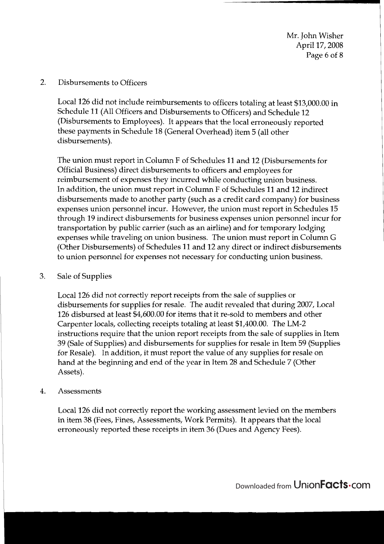Mr. John Wisher April 17,2008 Page 6 of 8

2. Disbursements to Officers

Local 126 did not include reimbursements to officers totaling at least \$13,000.00 in Schedule 11 (All Officers and Disbursements to Officers) and Schedule 12 (Disbursements to Employees). It appears that the local erroneously reported these payments in Schedule 18 (General Overhead) item 5 (all other disbursements).

The union must report in Column F of Schedules 11 and 12 (Disbursements for Official Business) direct disbursements to officers and employees for reimbursement of expenses they incurred while conducting union business. In addition, the union must report in Column F of Schedules 11 and 12 indirect disbursements made to another party (such as a credit card company) for business expenses union personnel incur. However, the union must report in Schedules 15 through 19 indirect disbursements for business expenses union personnel incur for transportation by public carrier (such as an airline) and for temporary lodging expenses while traveling on union business. The union must report in Column G (Other Disbursements) of Schedules 11 and 12 any direct or indirect disbursements to union personnel for expenses not necessary for conducting union business.

<sup>1</sup>3. Sale of Supplies

Local 126 did not correctly report receipts from the sale of supplies or disbursements for supplies for resale. The audit revealed that during 2007, Local 126 disbursed at least \$4,600.00 for items that it re-sold to members and other Carpenter locals, collecting receipts totaling at least \$1,400.00. The LM-2 instructions require that the union report receipts from the sale of supplies in Item 39 (Sale of Supplies) and disbursements for supplies for resale in Item 59 (Supplies for Resale). In addition, it must report the value of any supplies for resale on hand at the beginning and end of the year in Item 28 and Schedule 7 (Other Assets).

<sup>1</sup>4. Assessments

Local 126 did not correctly report the working assessment levied on the members in item 38 (Fees, Fines, Assessments, Work Permits). It appears that the local erroneously reported these receipts in item 36 (Dues and Agency Fees).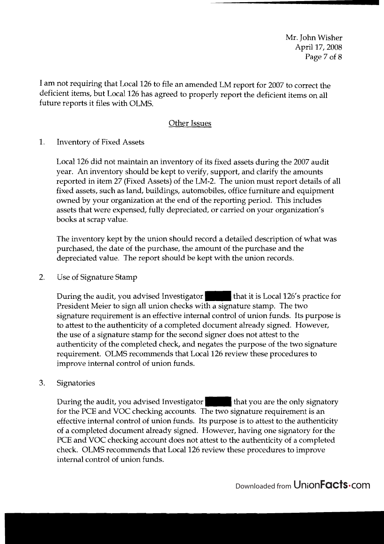Mr. John Wisher April 17,2008 Page 7 of 8

I am not requiring that Local 126 to file an amended LM report for 2007 to correct the deficient items, but Local 126 has agreed to properly report the deficient items on all future reports it files with OLMS.

## Other Issues

1. Inventory of Fixed Assets

Local 126 did not maintain an inventory of its fixed assets during the 2007 audit year. An inventory should be kept to verify, support, and clarify the amounts reported in item 27 (Fixed Assets) of the LM-2. The union must report details of all fixed assets, such as land, buildings, automobiles, office furniture and equipment owned by your organization at the end of the reporting period. This includes assets that were expensed, fully depreciated, or carried on your organization's books at scrap value.

The inventory kept by the union should record a detailed description of what was purchased, the date of the purchase, the amount of the purchase and the depreciated value. The report should be kept with the union records.

2. Use of Signature Stamp

During the audit, you advised Investigator that it is Local 126's practice for President Meier to sign all union checks with a signature stamp. The two signature requirement is an effective internal control of union funds. Its purpose is to attest to the authenticity of a completed document already signed. However, the use of a signature stamp for the second signer does not attest to the authenticity of the completed check, and negates the purpose of the two signature requirement. OLMS recommends that Local 126 review these procedures to improve internal control of union funds.

**3.** Signatories

During the audit, you advised Investigator that you are the only signatory for the PCE and VOC checking accounts. The two signature requirement is an effective internal control of union funds. Its purpose is to attest to the authenticity of a completed document already signed. However, having one signatory for the PCE and VOC checking account does not attest to the authenticity of a completed check. OLMS recommends that Local 126 review these procedures to improve internal control of union funds.